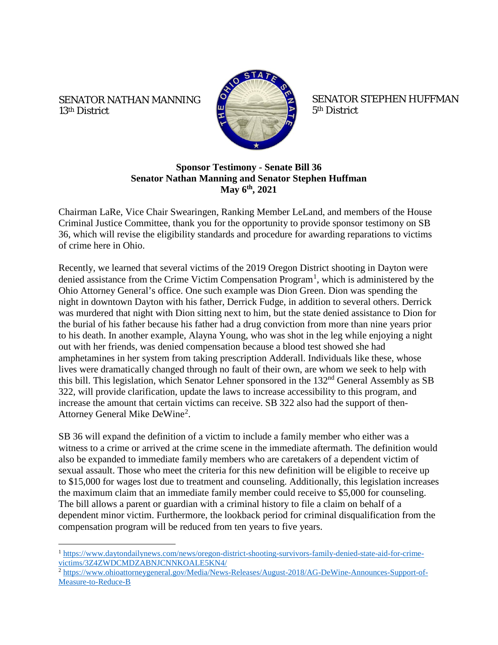## SENATOR NATHAN MANNING 13th District



SENATOR STEPHEN HUFFMAN 5th District

## **Sponsor Testimony - Senate Bill 36 Senator Nathan Manning and Senator Stephen Huffman May 6th, 2021**

Chairman LaRe, Vice Chair Swearingen, Ranking Member LeLand, and members of the House Criminal Justice Committee, thank you for the opportunity to provide sponsor testimony on SB 36, which will revise the eligibility standards and procedure for awarding reparations to victims of crime here in Ohio.

Recently, we learned that several victims of the 2019 Oregon District shooting in Dayton were denied assistance from the Crime Victim Compensation Program<sup>[1](#page-0-0)</sup>, which is administered by the Ohio Attorney General's office. One such example was Dion Green. Dion was spending the night in downtown Dayton with his father, Derrick Fudge, in addition to several others. Derrick was murdered that night with Dion sitting next to him, but the state denied assistance to Dion for the burial of his father because his father had a drug conviction from more than nine years prior to his death. In another example, Alayna Young, who was shot in the leg while enjoying a night out with her friends, was denied compensation because a blood test showed she had amphetamines in her system from taking prescription Adderall. Individuals like these, whose lives were dramatically changed through no fault of their own, are whom we seek to help with this bill. This legislation, which Senator Lehner sponsored in the 132<sup>nd</sup> General Assembly as SB 322, will provide clarification, update the laws to increase accessibility to this program, and increase the amount that certain victims can receive. SB 322 also had the support of then-Attorney General Mike DeWine<sup>[2](#page-0-1)</sup>.

SB 36 will expand the definition of a victim to include a family member who either was a witness to a crime or arrived at the crime scene in the immediate aftermath. The definition would also be expanded to immediate family members who are caretakers of a dependent victim of sexual assault. Those who meet the criteria for this new definition will be eligible to receive up to \$15,000 for wages lost due to treatment and counseling. Additionally, this legislation increases the maximum claim that an immediate family member could receive to \$5,000 for counseling. The bill allows a parent or guardian with a criminal history to file a claim on behalf of a dependent minor victim. Furthermore, the lookback period for criminal disqualification from the compensation program will be reduced from ten years to five years.

<span id="page-0-0"></span><sup>&</sup>lt;sup>1</sup> [https://www.daytondailynews.com/news/oregon-district-shooting-survivors-family-denied-state-aid-for-crime](https://www.daytondailynews.com/news/oregon-district-shooting-survivors-family-denied-state-aid-for-crime-victims/3Z4ZWDCMDZABNJCNNKOALE5KN4/)[victims/3Z4ZWDCMDZABNJCNNKOALE5KN4/](https://www.daytondailynews.com/news/oregon-district-shooting-survivors-family-denied-state-aid-for-crime-victims/3Z4ZWDCMDZABNJCNNKOALE5KN4/)

<span id="page-0-1"></span><sup>&</sup>lt;sup>2</sup> [https://www.ohioattorneygeneral.gov/Media/News-Releases/August-2018/AG-DeWine-Announces-Support-of-](https://www.ohioattorneygeneral.gov/Media/News-Releases/August-2018/AG-DeWine-Announces-Support-of-Measure-to-Reduce-B)[Measure-to-Reduce-B](https://www.ohioattorneygeneral.gov/Media/News-Releases/August-2018/AG-DeWine-Announces-Support-of-Measure-to-Reduce-B)